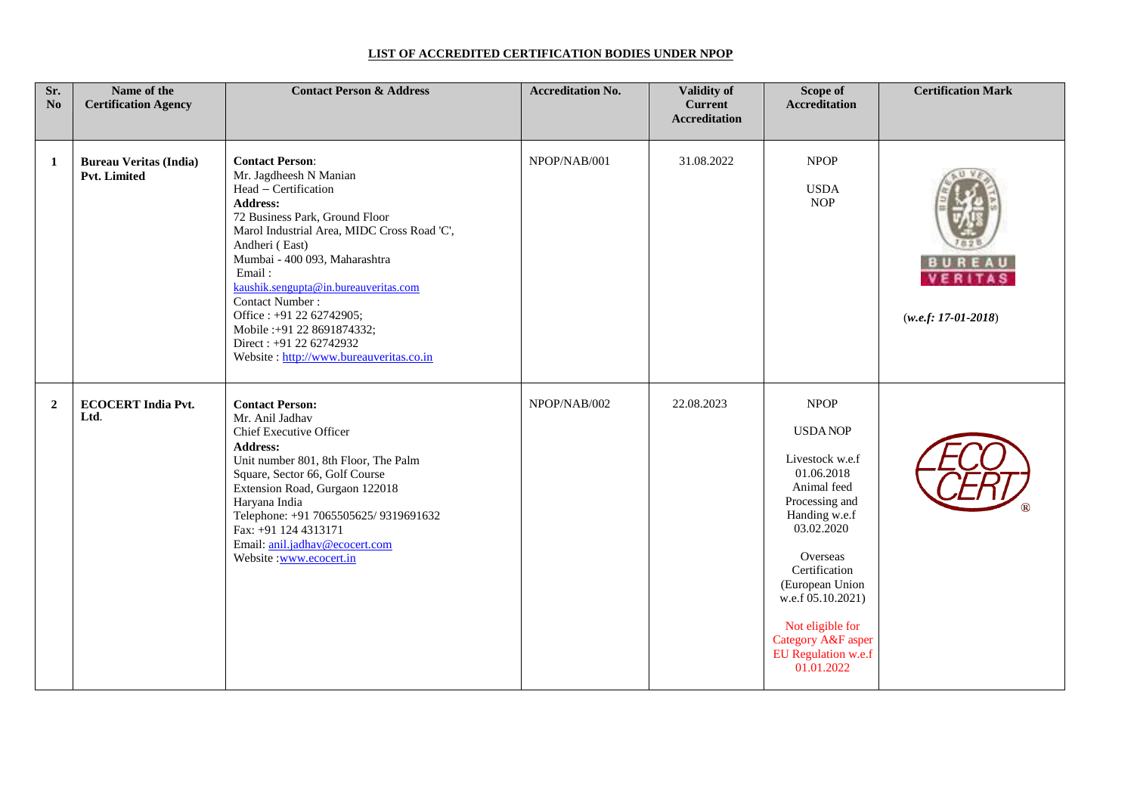## **LIST OF ACCREDITED CERTIFICATION BODIES UNDER NPOP**

| Sr.<br>No      | Name of the<br><b>Certification Agency</b>    | <b>Contact Person &amp; Address</b>                                                                                                                                                                                                                                                                                                                                                                                                    | <b>Accreditation No.</b> | <b>Validity of</b><br><b>Current</b><br><b>Accreditation</b> | Scope of<br>Accreditation                                                                                                                                                                                                                                                          | <b>Certification Mark</b> |
|----------------|-----------------------------------------------|----------------------------------------------------------------------------------------------------------------------------------------------------------------------------------------------------------------------------------------------------------------------------------------------------------------------------------------------------------------------------------------------------------------------------------------|--------------------------|--------------------------------------------------------------|------------------------------------------------------------------------------------------------------------------------------------------------------------------------------------------------------------------------------------------------------------------------------------|---------------------------|
| 1              | <b>Bureau Veritas (India)</b><br>Pvt. Limited | <b>Contact Person:</b><br>Mr. Jagdheesh N Manian<br>Head - Certification<br><b>Address:</b><br>72 Business Park, Ground Floor<br>Marol Industrial Area, MIDC Cross Road 'C',<br>Andheri (East)<br>Mumbai - 400 093, Maharashtra<br>Email:<br>kaushik.sengupta@in.bureauveritas.com<br>Contact Number:<br>Office: +91 22 62742905;<br>Mobile : +91 22 8691874332;<br>Direct: +91 22 62742932<br>Website: http://www.bureauveritas.co.in | NPOP/NAB/001             | 31.08.2022                                                   | <b>NPOP</b><br><b>USDA</b><br><b>NOP</b>                                                                                                                                                                                                                                           | $(w.e.f: 17-01-2018)$     |
| $\overline{2}$ | <b>ECOCERT India Pvt.</b><br>Ltd.             | <b>Contact Person:</b><br>Mr. Anil Jadhav<br><b>Chief Executive Officer</b><br><b>Address:</b><br>Unit number 801, 8th Floor, The Palm<br>Square, Sector 66, Golf Course<br>Extension Road, Gurgaon 122018<br>Haryana India<br>Telephone: +91 7065505625/ 9319691632<br>Fax: +91 124 4313171<br>Email: anil.jadhav@ecocert.com<br>Website :www.ecocert.in                                                                              | NPOP/NAB/002             | 22.08.2023                                                   | <b>NPOP</b><br><b>USDANOP</b><br>Livestock w.e.f<br>01.06.2018<br>Animal feed<br>Processing and<br>Handing w.e.f<br>03.02.2020<br>Overseas<br>Certification<br>(European Union<br>w.e.f 05.10.2021)<br>Not eligible for<br>Category A&F asper<br>EU Regulation w.e.f<br>01.01.2022 |                           |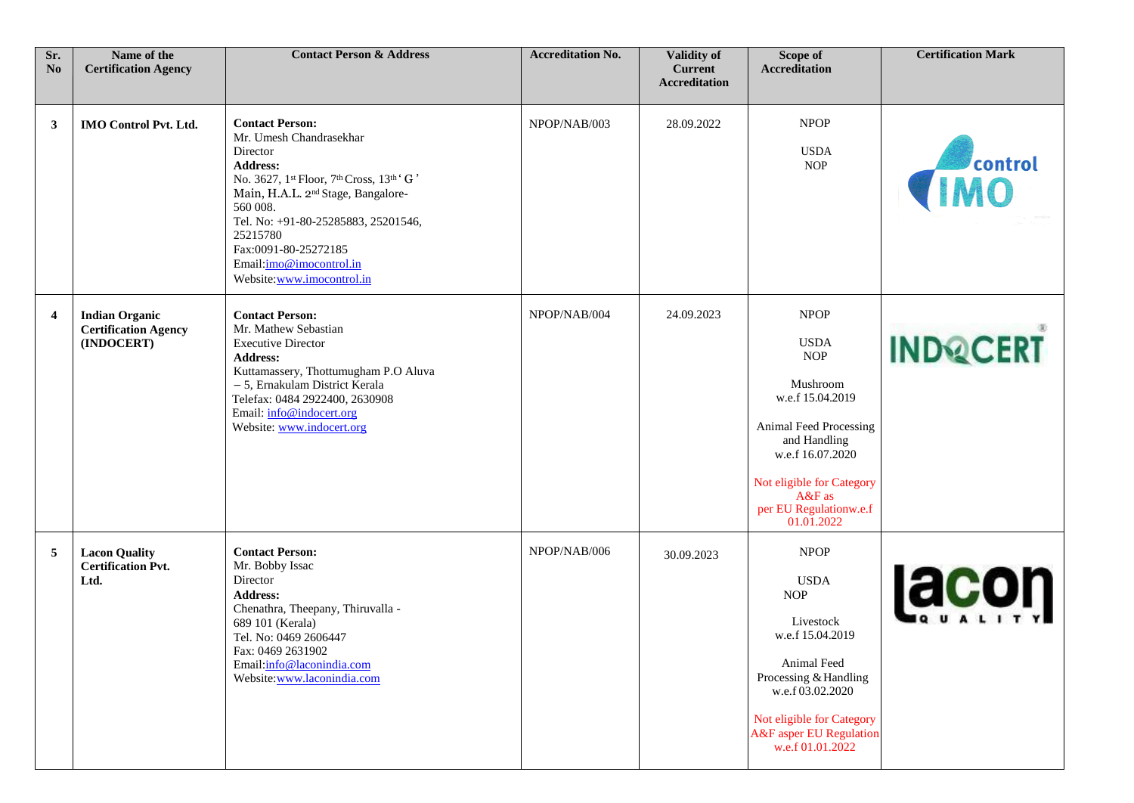| Sr.<br>N <sub>0</sub> | Name of the<br><b>Certification Agency</b>                         | <b>Contact Person &amp; Address</b>                                                                                                                                                                                                                                                                                             | <b>Accreditation No.</b> | <b>Validity of</b><br><b>Current</b><br><b>Accreditation</b> | Scope of<br><b>Accreditation</b>                                                                                                                                                                                        | <b>Certification Mark</b> |
|-----------------------|--------------------------------------------------------------------|---------------------------------------------------------------------------------------------------------------------------------------------------------------------------------------------------------------------------------------------------------------------------------------------------------------------------------|--------------------------|--------------------------------------------------------------|-------------------------------------------------------------------------------------------------------------------------------------------------------------------------------------------------------------------------|---------------------------|
| 3                     | <b>IMO Control Pvt. Ltd.</b>                                       | <b>Contact Person:</b><br>Mr. Umesh Chandrasekhar<br>Director<br><b>Address:</b><br>No. 3627, 1st Floor, 7th Cross, 13th ' G '<br>Main, H.A.L. 2 <sup>nd</sup> Stage, Bangalore-<br>560 008.<br>Tel. No: +91-80-25285883, 25201546,<br>25215780<br>Fax:0091-80-25272185<br>Email:imo@imocontrol.in<br>Website:www.imocontrol.in | NPOP/NAB/003             | 28.09.2022                                                   | <b>NPOP</b><br><b>USDA</b><br><b>NOP</b>                                                                                                                                                                                | <b>TRANSPORTER</b>        |
| 4                     | <b>Indian Organic</b><br><b>Certification Agency</b><br>(INDOCERT) | <b>Contact Person:</b><br>Mr. Mathew Sebastian<br><b>Executive Director</b><br><b>Address:</b><br>Kuttamassery, Thottumugham P.O Aluva<br>- 5, Ernakulam District Kerala<br>Telefax: 0484 2922400, 2630908<br>Email: info@indocert.org<br>Website: www.indocert.org                                                             | NPOP/NAB/004             | 24.09.2023                                                   | <b>NPOP</b><br><b>USDA</b><br><b>NOP</b><br>Mushroom<br>w.e.f 15.04.2019<br>Animal Feed Processing<br>and Handling<br>w.e.f 16.07.2020<br>Not eligible for Category<br>$A&F$ as<br>per EU Regulationw.e.f<br>01.01.2022 | <b>INDQCERT</b>           |
| 5                     | <b>Lacon Quality</b><br><b>Certification Pvt.</b><br>Ltd.          | <b>Contact Person:</b><br>Mr. Bobby Issac<br>Director<br><b>Address:</b><br>Chenathra, Theepany, Thiruvalla -<br>689 101 (Kerala)<br>Tel. No: 0469 2606447<br>Fax: 0469 2631902<br>Email:info@laconindia.com<br>Website:www.laconindia.com                                                                                      | NPOP/NAB/006             | 30.09.2023                                                   | <b>NPOP</b><br><b>USDA</b><br><b>NOP</b><br>Livestock<br>w.e.f 15.04.2019<br>Animal Feed<br>Processing & Handling<br>w.e.f 03.02.2020<br>Not eligible for Category<br>A&F asper EU Regulation<br>w.e.f 01.01.2022       | lacon                     |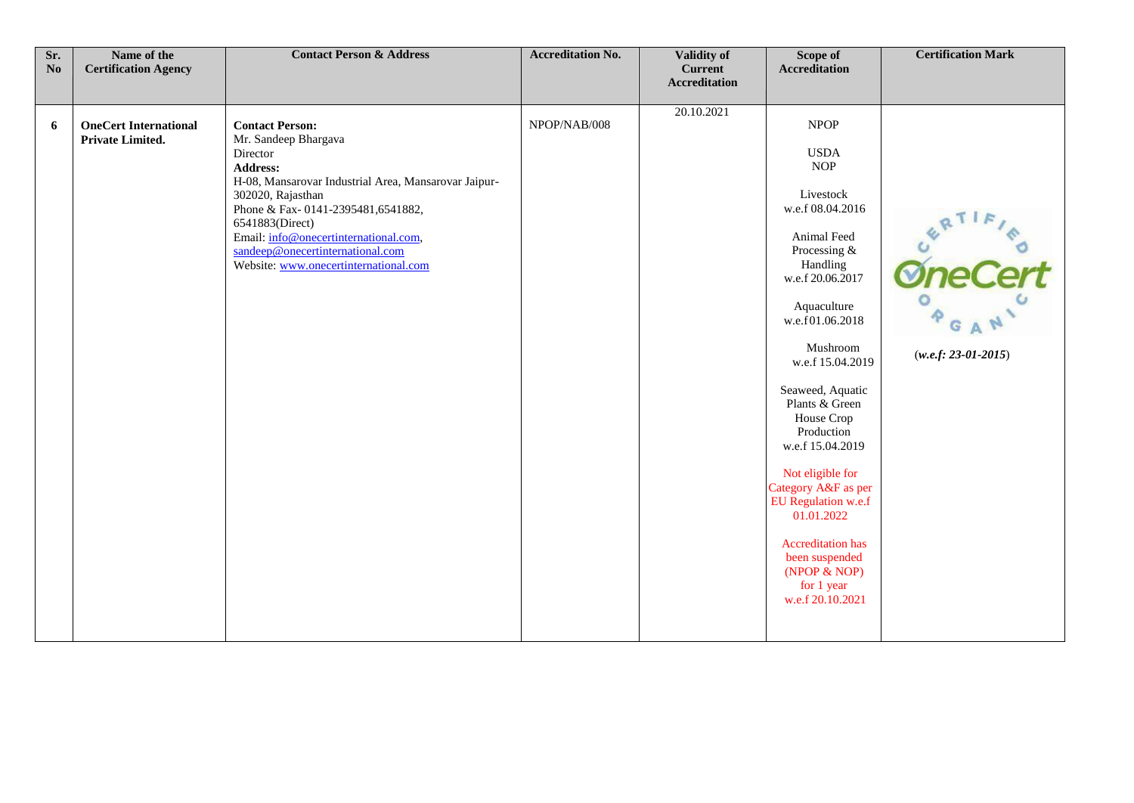| Sr.<br>N <sub>0</sub> | Name of the<br><b>Certification Agency</b>       | <b>Contact Person &amp; Address</b>                                                                                                                                                                                                                                                                                                      | <b>Accreditation No.</b> | <b>Validity of</b><br><b>Current</b> | Scope of<br><b>Accreditation</b>                                                                                                                                                                                                                                                                                                                                                                                                                                          | <b>Certification Mark</b> |
|-----------------------|--------------------------------------------------|------------------------------------------------------------------------------------------------------------------------------------------------------------------------------------------------------------------------------------------------------------------------------------------------------------------------------------------|--------------------------|--------------------------------------|---------------------------------------------------------------------------------------------------------------------------------------------------------------------------------------------------------------------------------------------------------------------------------------------------------------------------------------------------------------------------------------------------------------------------------------------------------------------------|---------------------------|
|                       |                                                  |                                                                                                                                                                                                                                                                                                                                          |                          | <b>Accreditation</b>                 |                                                                                                                                                                                                                                                                                                                                                                                                                                                                           |                           |
| 6                     | <b>OneCert International</b><br>Private Limited. | <b>Contact Person:</b><br>Mr. Sandeep Bhargava<br>Director<br><b>Address:</b><br>H-08, Mansarovar Industrial Area, Mansarovar Jaipur-<br>302020, Rajasthan<br>Phone & Fax-0141-2395481,6541882,<br>6541883(Direct)<br>Email: info@onecertinternational.com,<br>sandeep@onecertinternational.com<br>Website: www.onecertinternational.com | NPOP/NAB/008             | 20.10.2021                           | NPOP<br><b>USDA</b><br><b>NOP</b><br>Livestock<br>w.e.f 08.04.2016<br>Animal Feed<br>Processing &<br>Handling<br>w.e.f 20.06.2017<br>Aquaculture<br>w.e.f01.06.2018<br>Mushroom<br>w.e.f 15.04.2019<br>Seaweed, Aquatic<br>Plants & Green<br>House Crop<br>Production<br>w.e.f 15.04.2019<br>Not eligible for<br>Category A&F as per<br>EU Regulation w.e.f<br>01.01.2022<br><b>Accreditation has</b><br>been suspended<br>(NPOP & NOP)<br>for 1 year<br>w.e.f 20.10.2021 | $(w.e.f: 23-01-2015)$     |
|                       |                                                  |                                                                                                                                                                                                                                                                                                                                          |                          |                                      |                                                                                                                                                                                                                                                                                                                                                                                                                                                                           |                           |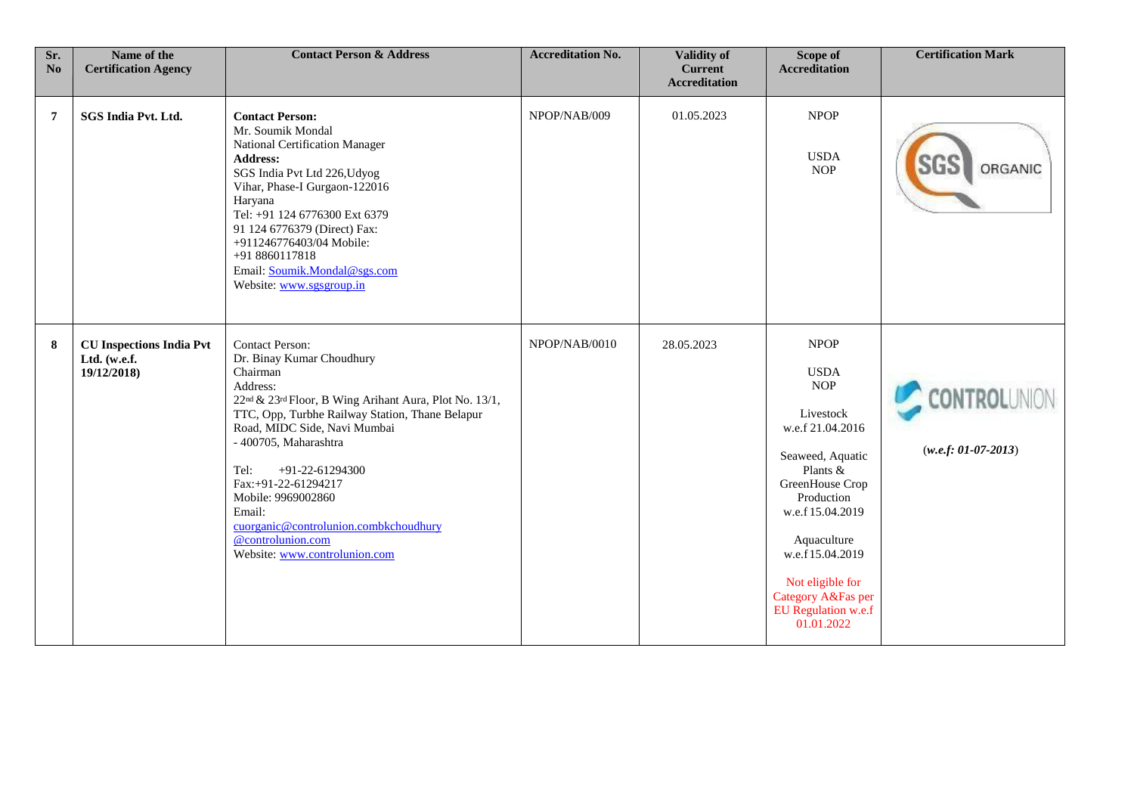| Sr.<br>No      | Name of the<br><b>Certification Agency</b>                     | <b>Contact Person &amp; Address</b>                                                                                                                                                                                                                                                                                                                                                                                                                        | <b>Accreditation No.</b> | <b>Validity of</b><br><b>Current</b><br><b>Accreditation</b> | Scope of<br><b>Accreditation</b>                                                                                                                                                                                                                                                | <b>Certification Mark</b>             |
|----------------|----------------------------------------------------------------|------------------------------------------------------------------------------------------------------------------------------------------------------------------------------------------------------------------------------------------------------------------------------------------------------------------------------------------------------------------------------------------------------------------------------------------------------------|--------------------------|--------------------------------------------------------------|---------------------------------------------------------------------------------------------------------------------------------------------------------------------------------------------------------------------------------------------------------------------------------|---------------------------------------|
| $\overline{7}$ | SGS India Pvt. Ltd.                                            | <b>Contact Person:</b><br>Mr. Soumik Mondal<br>National Certification Manager<br>Address:<br>SGS India Pvt Ltd 226, Udyog<br>Vihar, Phase-I Gurgaon-122016<br>Haryana<br>Tel: +91 124 6776300 Ext 6379<br>91 124 6776379 (Direct) Fax:<br>+911246776403/04 Mobile:<br>+91 8860117818<br>Email: Soumik.Mondal@sgs.com<br>Website: www.sgsgroup.in                                                                                                           | NPOP/NAB/009             | 01.05.2023                                                   | <b>NPOP</b><br><b>USDA</b><br><b>NOP</b>                                                                                                                                                                                                                                        | ORGANIC                               |
| 8              | <b>CU Inspections India Pvt</b><br>Ltd. (w.e.f.<br>19/12/2018) | <b>Contact Person:</b><br>Dr. Binay Kumar Choudhury<br>Chairman<br>Address:<br>22 <sup>nd</sup> & 23 <sup>rd</sup> Floor, B Wing Arihant Aura, Plot No. 13/1,<br>TTC, Opp, Turbhe Railway Station, Thane Belapur<br>Road, MIDC Side, Navi Mumbai<br>- 400705, Maharashtra<br>Tel:<br>+91-22-61294300<br>Fax:+91-22-61294217<br>Mobile: 9969002860<br>Email:<br>cuorganic@controlunion.combkchoudhury<br>@controlunion.com<br>Website: www.controlunion.com | NPOP/NAB/0010            | 28.05.2023                                                   | <b>NPOP</b><br><b>USDA</b><br><b>NOP</b><br>Livestock<br>w.e.f 21.04.2016<br>Seaweed, Aquatic<br>Plants &<br>GreenHouse Crop<br>Production<br>w.e.f 15.04.2019<br>Aquaculture<br>w.e.f15.04.2019<br>Not eligible for<br>Category A&Fas per<br>EU Regulation w.e.f<br>01.01.2022 | :ONTROLUNION<br>$(w.e.f: 01-07-2013)$ |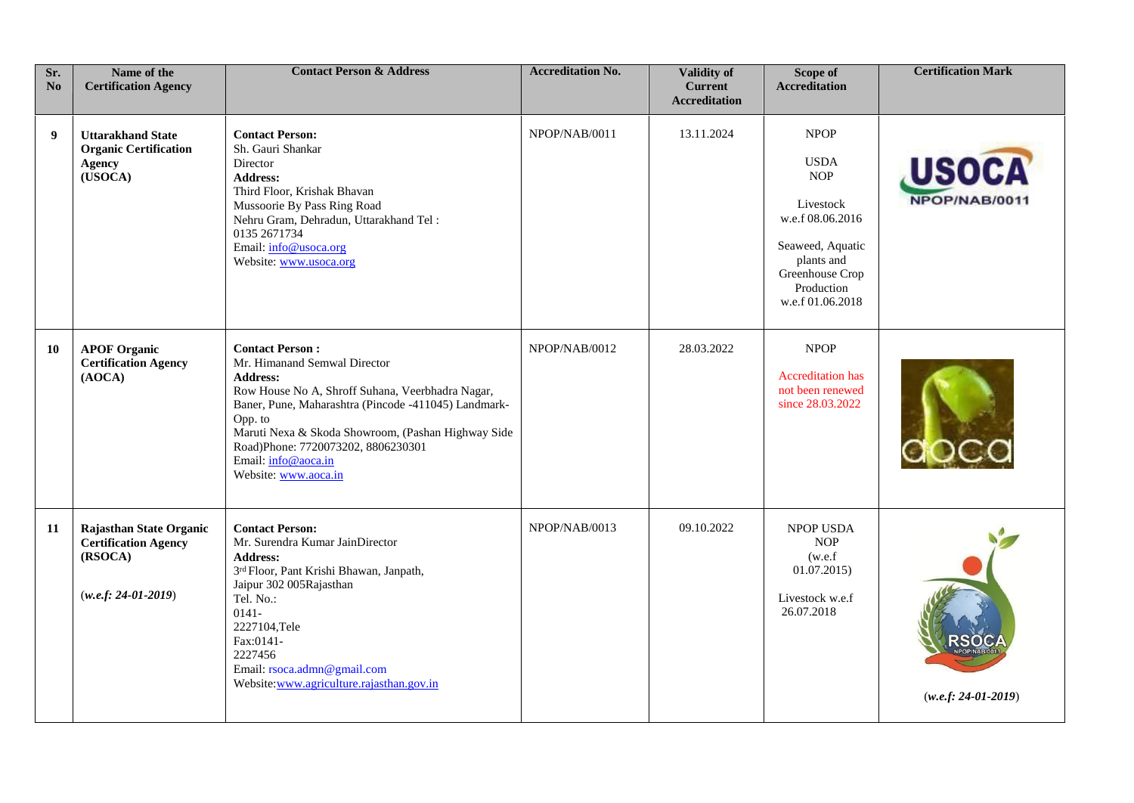| Sr.<br>N <sub>0</sub> | Name of the<br><b>Certification Agency</b>                                                 | <b>Contact Person &amp; Address</b>                                                                                                                                                                                                                                                                                                         | <b>Accreditation No.</b> | Validity of<br><b>Current</b><br><b>Accreditation</b> | Scope of<br><b>Accreditation</b>                                                                                                                                 | <b>Certification Mark</b>    |
|-----------------------|--------------------------------------------------------------------------------------------|---------------------------------------------------------------------------------------------------------------------------------------------------------------------------------------------------------------------------------------------------------------------------------------------------------------------------------------------|--------------------------|-------------------------------------------------------|------------------------------------------------------------------------------------------------------------------------------------------------------------------|------------------------------|
| 9                     | <b>Uttarakhand State</b><br><b>Organic Certification</b><br><b>Agency</b><br>(USOCA)       | <b>Contact Person:</b><br>Sh. Gauri Shankar<br>Director<br><b>Address:</b><br>Third Floor, Krishak Bhavan<br>Mussoorie By Pass Ring Road<br>Nehru Gram, Dehradun, Uttarakhand Tel:<br>0135 2671734<br>Email: info@usoca.org<br>Website: www.usoca.org                                                                                       | NPOP/NAB/0011            | 13.11.2024                                            | <b>NPOP</b><br><b>USDA</b><br><b>NOP</b><br>Livestock<br>w.e.f 08.06.2016<br>Seaweed, Aquatic<br>plants and<br>Greenhouse Crop<br>Production<br>w.e.f 01.06.2018 | <b>USOCA</b><br>NPOP/NAB/001 |
| 10                    | <b>APOF Organic</b><br><b>Certification Agency</b><br>(AOCA)                               | <b>Contact Person:</b><br>Mr. Himanand Semwal Director<br><b>Address:</b><br>Row House No A, Shroff Suhana, Veerbhadra Nagar,<br>Baner, Pune, Maharashtra (Pincode -411045) Landmark-<br>Opp. to<br>Maruti Nexa & Skoda Showroom, (Pashan Highway Side<br>Road)Phone: 7720073202, 8806230301<br>Email: info@aoca.in<br>Website: www.aoca.in | NPOP/NAB/0012            | 28.03.2022                                            | <b>NPOP</b><br><b>Accreditation</b> has<br>not been renewed<br>since 28.03.2022                                                                                  |                              |
| 11                    | Rajasthan State Organic<br><b>Certification Agency</b><br>(RSOCA)<br>$(w.e.f: 24-01-2019)$ | <b>Contact Person:</b><br>Mr. Surendra Kumar JainDirector<br><b>Address:</b><br>3rd Floor, Pant Krishi Bhawan, Janpath,<br>Jaipur 302 005Rajasthan<br>Tel. No.:<br>$0141 -$<br>2227104,Tele<br>Fax:0141-<br>2227456<br>Email: rsoca.admn@gmail.com<br>Website:www.agriculture.rajasthan.gov.in                                              | NPOP/NAB/0013            | 09.10.2022                                            | NPOP USDA<br><b>NOP</b><br>(w.e.f)<br>01.07.2015<br>Livestock w.e.f<br>26.07.2018                                                                                | $(w.e.f: 24-01-2019)$        |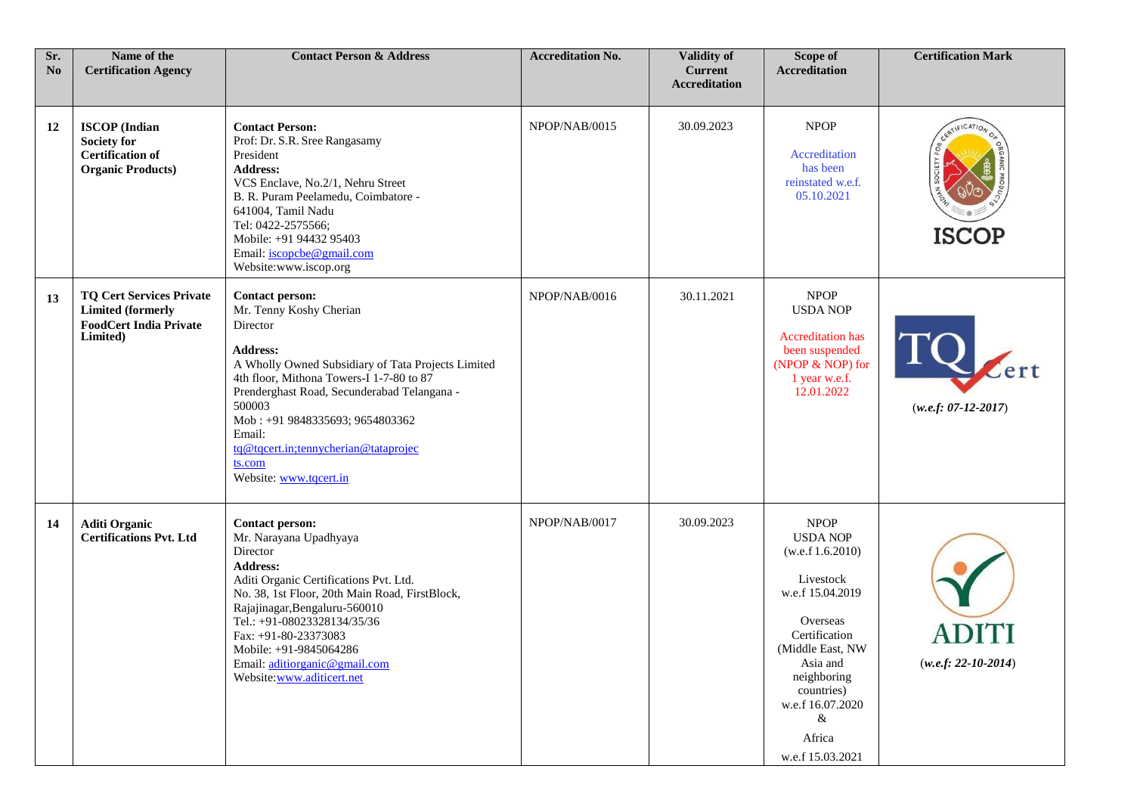| Sr.<br>N <sub>0</sub> | Name of the<br><b>Certification Agency</b>                                                               | <b>Contact Person &amp; Address</b>                                                                                                                                                                                                                                                                                                                                  | <b>Accreditation No.</b> | <b>Validity of</b><br><b>Current</b><br><b>Accreditation</b> | Scope of<br><b>Accreditation</b>                                                                                                                                                                                                     | <b>Certification Mark</b>     |
|-----------------------|----------------------------------------------------------------------------------------------------------|----------------------------------------------------------------------------------------------------------------------------------------------------------------------------------------------------------------------------------------------------------------------------------------------------------------------------------------------------------------------|--------------------------|--------------------------------------------------------------|--------------------------------------------------------------------------------------------------------------------------------------------------------------------------------------------------------------------------------------|-------------------------------|
| 12                    | <b>ISCOP</b> (Indian<br><b>Society for</b><br><b>Certification of</b><br><b>Organic Products</b> )       | <b>Contact Person:</b><br>Prof: Dr. S.R. Sree Rangasamy<br>President<br><b>Address:</b><br>VCS Enclave, No.2/1, Nehru Street<br>B. R. Puram Peelamedu, Coimbatore -<br>641004, Tamil Nadu<br>Tel: 0422-2575566;<br>Mobile: +91 94432 95403<br>Email: iscopcbe@gmail.com<br>Website:www.iscop.org                                                                     | NPOP/NAB/0015            | 30.09.2023                                                   | <b>NPOP</b><br>Accreditation<br>has been<br>reinstated w.e.f.<br>05.10.2021                                                                                                                                                          | CERTIFICATION<br><b>ISCOP</b> |
| 13                    | <b>TQ Cert Services Private</b><br><b>Limited (formerly</b><br><b>FoodCert India Private</b><br>Limited) | <b>Contact person:</b><br>Mr. Tenny Koshy Cherian<br>Director<br><b>Address:</b><br>A Wholly Owned Subsidiary of Tata Projects Limited<br>4th floor, Mithona Towers-I 1-7-80 to 87<br>Prenderghast Road, Secunderabad Telangana -<br>500003<br>Mob: +91 9848335693; 9654803362<br>Email:<br>tq@tqcert.in;tennycherian@tataprojec<br>ts.com<br>Website: www.tqcert.in | NPOP/NAB/0016            | 30.11.2021                                                   | <b>NPOP</b><br><b>USDA NOP</b><br><b>Accreditation</b> has<br>been suspended<br>(NPOP & NOP) for<br>1 year w.e.f.<br>12.01.2022                                                                                                      | TQ<br>$(w.e.f: 07-12-2017)$   |
| 14                    | <b>Aditi Organic</b><br><b>Certifications Pvt. Ltd</b>                                                   | <b>Contact person:</b><br>Mr. Narayana Upadhyaya<br>Director<br><b>Address:</b><br>Aditi Organic Certifications Pvt. Ltd.<br>No. 38, 1st Floor, 20th Main Road, FirstBlock,<br>Rajajinagar, Bengaluru-560010<br>Tel.: +91-08023328134/35/36<br>Fax: +91-80-23373083<br>Mobile: +91-9845064286<br>Email: aditiorganic@gmail.com<br>Website:www.aditicert.net          | NPOP/NAB/0017            | 30.09.2023                                                   | <b>NPOP</b><br><b>USDA NOP</b><br>(w.e.f 1.6.2010)<br>Livestock<br>w.e.f 15.04.2019<br>Overseas<br>Certification<br>(Middle East, NW<br>Asia and<br>neighboring<br>countries)<br>w.e.f 16.07.2020<br>&<br>Africa<br>w.e.f 15.03.2021 | $(w.e.f: 22-10-2014)$         |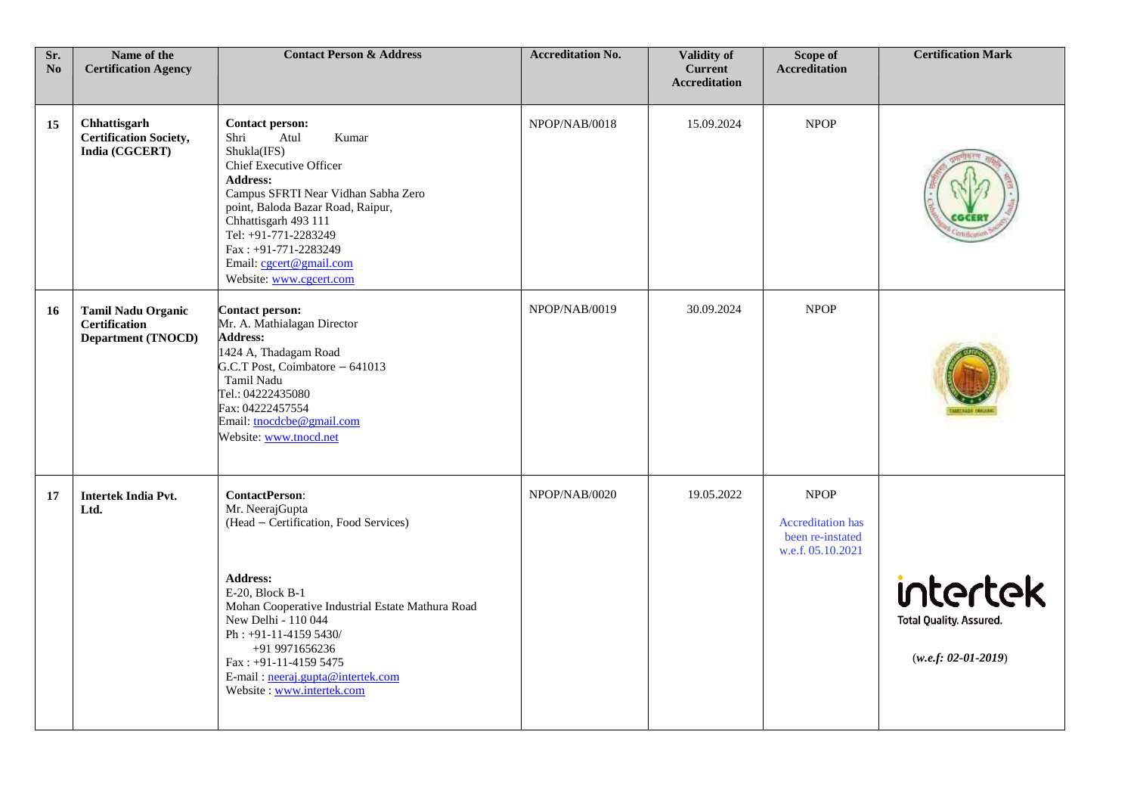| Sr.<br>No | Name of the<br><b>Certification Agency</b>                                     | <b>Contact Person &amp; Address</b>                                                                                                                                                                                                                                                                                                       | <b>Accreditation No.</b> | <b>Validity of</b><br><b>Current</b><br><b>Accreditation</b> | Scope of<br><b>Accreditation</b>                                                 | <b>Certification Mark</b>                                    |
|-----------|--------------------------------------------------------------------------------|-------------------------------------------------------------------------------------------------------------------------------------------------------------------------------------------------------------------------------------------------------------------------------------------------------------------------------------------|--------------------------|--------------------------------------------------------------|----------------------------------------------------------------------------------|--------------------------------------------------------------|
| 15        | Chhattisgarh<br><b>Certification Society,</b><br>India (CGCERT)                | <b>Contact person:</b><br>Atul<br>Kumar<br>Shri<br>Shukla(IFS)<br><b>Chief Executive Officer</b><br><b>Address:</b><br>Campus SFRTI Near Vidhan Sabha Zero<br>point, Baloda Bazar Road, Raipur,<br>Chhattisgarh 493 111<br>Tel: +91-771-2283249<br>Fax: +91-771-2283249<br>Email: cgcert@gmail.com<br>Website: www.cgcert.com             | NPOP/NAB/0018            | 15.09.2024                                                   | <b>NPOP</b>                                                                      |                                                              |
| 16        | <b>Tamil Nadu Organic</b><br><b>Certification</b><br><b>Department (TNOCD)</b> | Contact person:<br>Mr. A. Mathialagan Director<br><b>Address:</b><br>1424 A, Thadagam Road<br>G.C.T Post, Coimbatore - 641013<br>Tamil Nadu<br>Tel.: 04222435080<br>Fax: 04222457554<br>Email: tnocdcbe@gmail.com<br>Website: www.tnocd.net                                                                                               | NPOP/NAB/0019            | 30.09.2024                                                   | <b>NPOP</b>                                                                      |                                                              |
| 17        | <b>Intertek India Pvt.</b><br>Ltd.                                             | <b>ContactPerson:</b><br>Mr. NeerajGupta<br>(Head - Certification, Food Services)<br><b>Address:</b><br>E-20, Block B-1<br>Mohan Cooperative Industrial Estate Mathura Road<br>New Delhi - 110 044<br>Ph: +91-11-4159 5430/<br>+91 9971656236<br>$Fax: +91-11-41595475$<br>E-mail: neeraj.gupta@intertek.com<br>Website: www.intertek.com | NPOP/NAB/0020            | 19.05.2022                                                   | <b>NPOP</b><br><b>Accreditation</b> has<br>been re-instated<br>w.e.f. 05.10.2021 | intertek<br>Total Quality. Assured.<br>$(w.e.f: 02-01-2019)$ |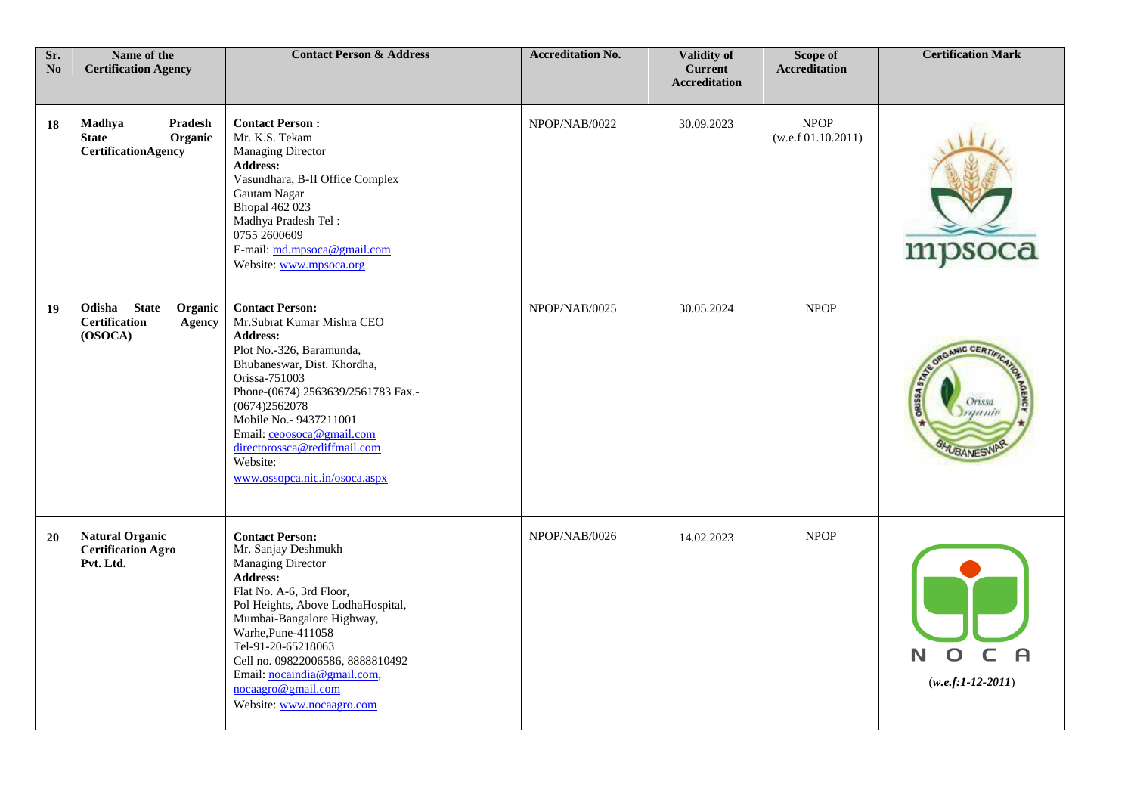| Sr.<br>$\bf No$ | Name of the<br><b>Certification Agency</b>                                  | <b>Contact Person &amp; Address</b>                                                                                                                                                                                                                                                                                                                          | <b>Accreditation No.</b> | Validity of<br><b>Current</b><br><b>Accreditation</b> | Scope of<br><b>Accreditation</b>  | <b>Certification Mark</b>                                                        |
|-----------------|-----------------------------------------------------------------------------|--------------------------------------------------------------------------------------------------------------------------------------------------------------------------------------------------------------------------------------------------------------------------------------------------------------------------------------------------------------|--------------------------|-------------------------------------------------------|-----------------------------------|----------------------------------------------------------------------------------|
| 18              | Madhya<br>Pradesh<br><b>State</b><br>Organic<br><b>CertificationAgency</b>  | <b>Contact Person:</b><br>Mr. K.S. Tekam<br><b>Managing Director</b><br><b>Address:</b><br>Vasundhara, B-II Office Complex<br>Gautam Nagar<br><b>Bhopal 462 023</b><br>Madhya Pradesh Tel:<br>0755 2600609<br>E-mail: md.mpsoca@gmail.com<br>Website: www.mpsoca.org                                                                                         | NPOP/NAB/0022            | 30.09.2023                                            | <b>NPOP</b><br>(w.e.f.01.10.2011) | mpsoca                                                                           |
| 19              | Odisha State<br>Organic<br><b>Certification</b><br><b>Agency</b><br>(OSOCA) | <b>Contact Person:</b><br>Mr.Subrat Kumar Mishra CEO<br><b>Address:</b><br>Plot No.-326, Baramunda,<br>Bhubaneswar, Dist. Khordha,<br>Orissa-751003<br>Phone-(0674) 2563639/2561783 Fax.-<br>(0674)2562078<br>Mobile No.- 9437211001<br>Email: ceoosoca@gmail.com<br>directorossca@rediffmail.com<br>Website:<br>www.ossopca.nic.in/osoca.aspx               | NPOP/NAB/0025            | 30.05.2024                                            | <b>NPOP</b>                       | GANIC CERTIA<br><b>ORUSSA STAT</b><br>Orissa<br><b>Syganic</b><br><b>WBANESY</b> |
| 20              | <b>Natural Organic</b><br><b>Certification Agro</b><br>Pvt. Ltd.            | <b>Contact Person:</b><br>Mr. Sanjay Deshmukh<br><b>Managing Director</b><br><b>Address:</b><br>Flat No. A-6, 3rd Floor,<br>Pol Heights, Above LodhaHospital,<br>Mumbai-Bangalore Highway,<br>Warhe, Pune-411058<br>Tel-91-20-65218063<br>Cell no. 09822006586, 8888810492<br>Email: nocaindia@gmail.com,<br>nocaagro@gmail.com<br>Website: www.nocaagro.com | NPOP/NAB/0026            | 14.02.2023                                            | <b>NPOP</b>                       | N<br>$(w.e.f:1-12-2011)$                                                         |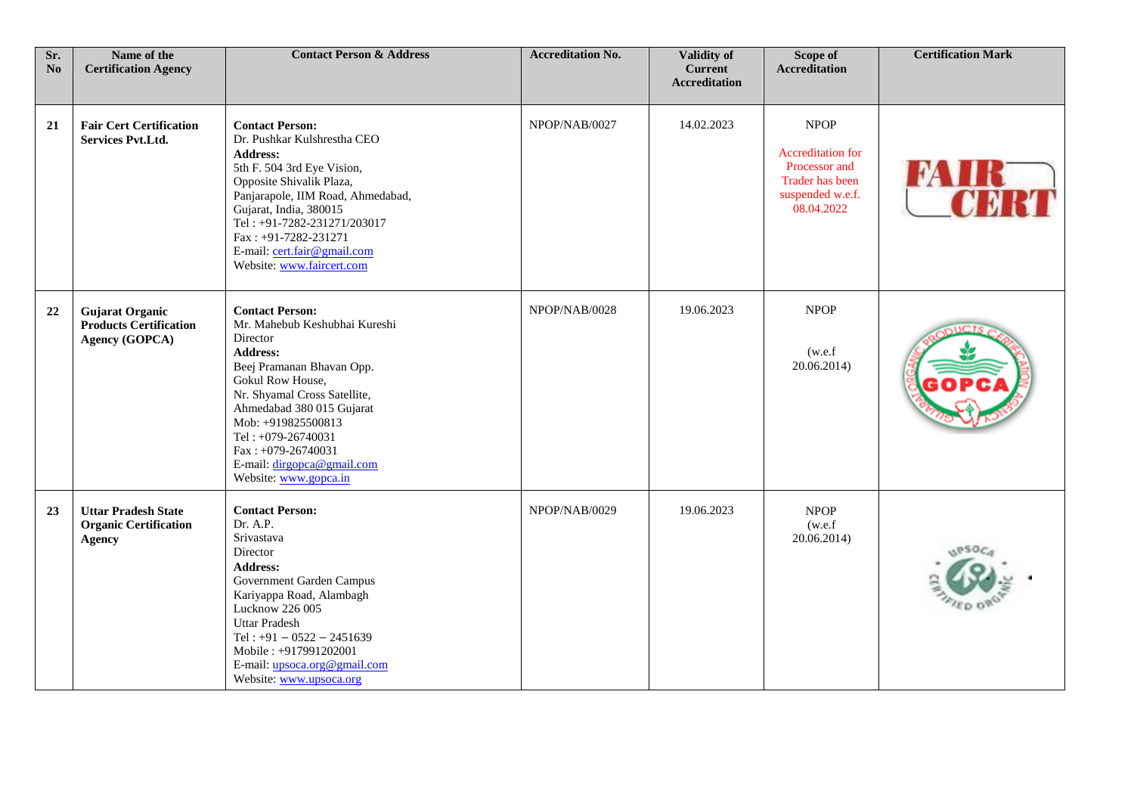| Sr.<br>No | Name of the<br><b>Certification Agency</b>                                  | <b>Contact Person &amp; Address</b>                                                                                                                                                                                                                                                                                           | <b>Accreditation No.</b> | Validity of<br><b>Current</b><br><b>Accreditation</b> | Scope of<br><b>Accreditation</b>                                                                              | <b>Certification Mark</b> |
|-----------|-----------------------------------------------------------------------------|-------------------------------------------------------------------------------------------------------------------------------------------------------------------------------------------------------------------------------------------------------------------------------------------------------------------------------|--------------------------|-------------------------------------------------------|---------------------------------------------------------------------------------------------------------------|---------------------------|
| 21        | <b>Fair Cert Certification</b><br><b>Services Pvt.Ltd.</b>                  | <b>Contact Person:</b><br>Dr. Pushkar Kulshrestha CEO<br><b>Address:</b><br>5th F. 504 3rd Eye Vision,<br>Opposite Shivalik Plaza,<br>Panjarapole, IIM Road, Ahmedabad,<br>Gujarat, India, 380015<br>Tel: +91-7282-231271/203017<br>Fax: +91-7282-231271<br>E-mail: cert.fair@gmail.com<br>Website: www.faircert.com          | NPOP/NAB/0027            | 14.02.2023                                            | <b>NPOP</b><br><b>Accreditation for</b><br>Processor and<br>Trader has been<br>suspended w.e.f.<br>08.04.2022 |                           |
| 22        | <b>Gujarat Organic</b><br><b>Products Certification</b><br>Agency (GOPCA)   | <b>Contact Person:</b><br>Mr. Mahebub Keshubhai Kureshi<br>Director<br><b>Address:</b><br>Beej Pramanan Bhavan Opp.<br>Gokul Row House,<br>Nr. Shyamal Cross Satellite,<br>Ahmedabad 380 015 Gujarat<br>Mob: +919825500813<br>Tel: +079-26740031<br>Fax: +079-26740031<br>E-mail: dirgopca@gmail.com<br>Website: www.gopca.in | NPOP/NAB/0028            | 19.06.2023                                            | <b>NPOP</b><br>(w.e.f)<br>20.06.2014)                                                                         |                           |
| 23        | <b>Uttar Pradesh State</b><br><b>Organic Certification</b><br><b>Agency</b> | <b>Contact Person:</b><br>Dr. A.P.<br>Srivastava<br>Director<br><b>Address:</b><br>Government Garden Campus<br>Kariyappa Road, Alambagh<br>Lucknow 226 005<br><b>Uttar Pradesh</b><br>Tel: $+91 - 0522 - 2451639$<br>Mobile: +917991202001<br>E-mail: upsoca.org@gmail.com<br>Website: www.upsoca.org                         | NPOP/NAB/0029            | 19.06.2023                                            | <b>NPOP</b><br>(w.e.f)<br>20.06.2014)                                                                         |                           |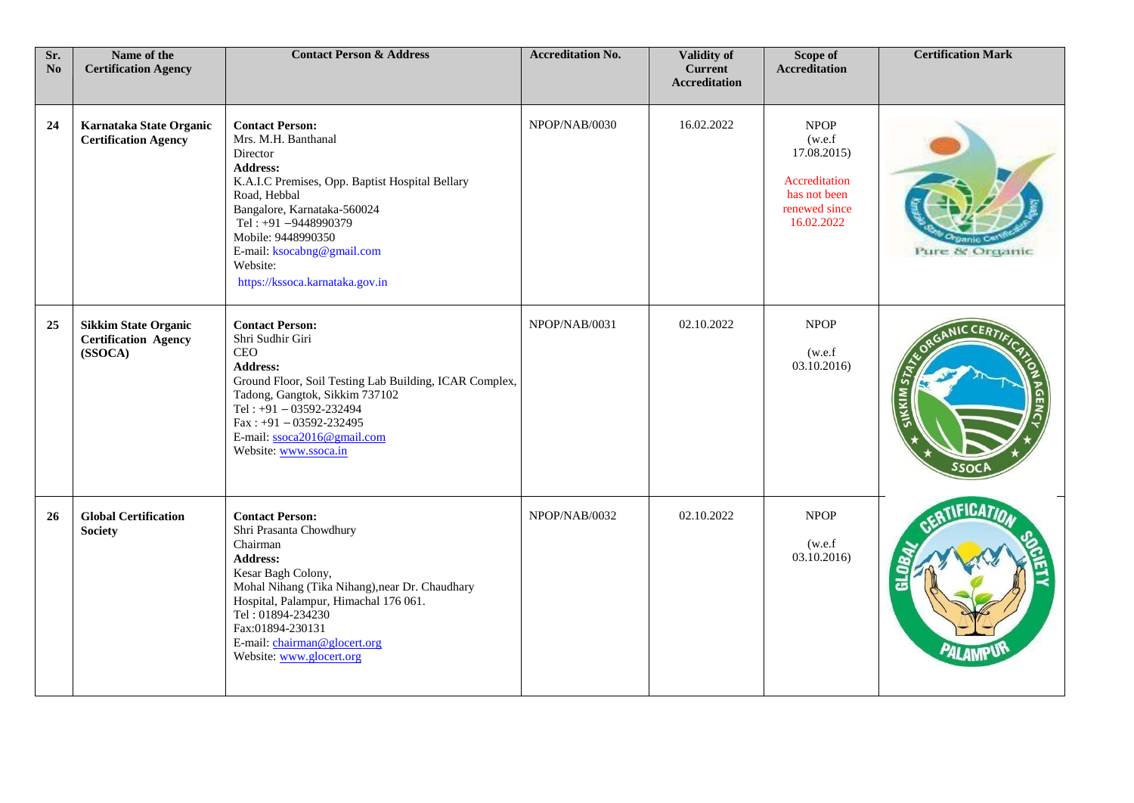| Sr.<br>N <sub>o</sub> | Name of the<br><b>Certification Agency</b>                            | <b>Contact Person &amp; Address</b>                                                                                                                                                                                                                                                                      | <b>Accreditation No.</b> | Validity of<br><b>Current</b><br><b>Accreditation</b> | Scope of<br><b>Accreditation</b>                                                                      | <b>Certification Mark</b> |
|-----------------------|-----------------------------------------------------------------------|----------------------------------------------------------------------------------------------------------------------------------------------------------------------------------------------------------------------------------------------------------------------------------------------------------|--------------------------|-------------------------------------------------------|-------------------------------------------------------------------------------------------------------|---------------------------|
| 24                    | Karnataka State Organic<br><b>Certification Agency</b>                | <b>Contact Person:</b><br>Mrs. M.H. Banthanal<br>Director<br><b>Address:</b><br>K.A.I.C Premises, Opp. Baptist Hospital Bellary<br>Road, Hebbal<br>Bangalore, Karnataka-560024<br>Tel: +91-9448990379<br>Mobile: 9448990350<br>E-mail: ksocabng@gmail.com<br>Website:<br>https://kssoca.karnataka.gov.in | NPOP/NAB/0030            | 16.02.2022                                            | <b>NPOP</b><br>(w.e.f)<br>17.08.2015)<br>Accreditation<br>has not been<br>renewed since<br>16.02.2022 | Pure & Organic            |
| 25                    | <b>Sikkim State Organic</b><br><b>Certification Agency</b><br>(SSOCA) | <b>Contact Person:</b><br>Shri Sudhir Giri<br>CEO<br>Address:<br>Ground Floor, Soil Testing Lab Building, ICAR Complex,<br>Tadong, Gangtok, Sikkim 737102<br>Tel: $+91 - 03592 - 232494$<br>$Fax: +91 - 03592 - 232495$<br>E-mail: ssoca2016@gmail.com<br>Website: www.ssoca.in                          | NPOP/NAB/0031            | 02.10.2022                                            | <b>NPOP</b><br>(w.e.f)<br>03.10.2016)                                                                 | KIM                       |
| <b>26</b>             | <b>Global Certification</b><br><b>Society</b>                         | <b>Contact Person:</b><br>Shri Prasanta Chowdhury<br>Chairman<br><b>Address:</b><br>Kesar Bagh Colony,<br>Mohal Nihang (Tika Nihang), near Dr. Chaudhary<br>Hospital, Palampur, Himachal 176 061.<br>Tel: 01894-234230<br>Fax:01894-230131<br>E-mail: chairman@glocert.org<br>Website: www.glocert.org   | NPOP/NAB/0032            | 02.10.2022                                            | <b>NPOP</b><br>(w.e.f)<br>03.10.2016)                                                                 | <b>FICA7</b>              |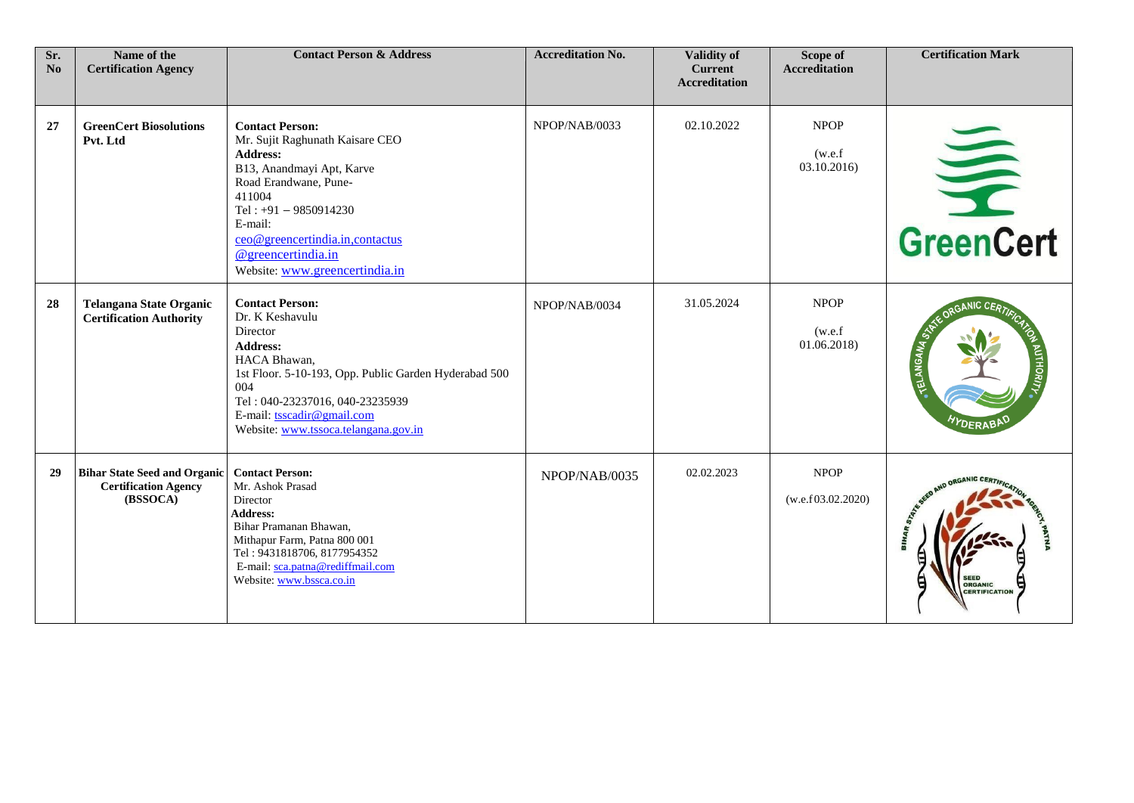| Sr.<br>N <sub>0</sub> | Name of the<br><b>Certification Agency</b>                                     | <b>Contact Person &amp; Address</b>                                                                                                                                                                                                                                           | <b>Accreditation No.</b> | <b>Validity of</b><br><b>Current</b><br><b>Accreditation</b> | Scope of<br><b>Accreditation</b>     | <b>Certification Mark</b>              |
|-----------------------|--------------------------------------------------------------------------------|-------------------------------------------------------------------------------------------------------------------------------------------------------------------------------------------------------------------------------------------------------------------------------|--------------------------|--------------------------------------------------------------|--------------------------------------|----------------------------------------|
| 27                    | <b>GreenCert Biosolutions</b><br>Pvt. Ltd                                      | <b>Contact Person:</b><br>Mr. Sujit Raghunath Kaisare CEO<br><b>Address:</b><br>B13, Anandmayi Apt, Karve<br>Road Erandwane, Pune-<br>411004<br>Tel: $+91 - 9850914230$<br>E-mail:<br>ceo@greencertindia.in,contactus<br>@greencertindia.in<br>Website: www.greencertindia.in | NPOP/NAB/0033            | 02.10.2022                                                   | <b>NPOP</b><br>(w.e.f)<br>03.10.2016 | GreenCert                              |
| 28                    | <b>Telangana State Organic</b><br><b>Certification Authority</b>               | <b>Contact Person:</b><br>Dr. K Keshavulu<br>Director<br><b>Address:</b><br>HACA Bhawan,<br>1st Floor. 5-10-193, Opp. Public Garden Hyderabad 500<br>004<br>Tel: 040-23237016, 040-23235939<br>E-mail: tsscadir@gmail.com<br>Website: www.tssoca.telangana.gov.in             | NPOP/NAB/0034            | 31.05.2024                                                   | <b>NPOP</b><br>(w.e.f)<br>01.06.2018 | <i><b>DERAB</b></i>                    |
| 29                    | <b>Bihar State Seed and Organic</b><br><b>Certification Agency</b><br>(BSSOCA) | <b>Contact Person:</b><br>Mr. Ashok Prasad<br>Director<br>Address:<br>Bihar Pramanan Bhawan,<br>Mithapur Farm, Patna 800 001<br>Tel: 9431818706, 8177954352<br>E-mail: sca.patna@rediffmail.com<br>Website: www.bssca.co.in                                                   | NPOP/NAB/0035            | 02.02.2023                                                   | <b>NPOP</b><br>(w.e.f 03.02.2020)    | <b>ORGANIC</b><br><b>CERTIFICATION</b> |